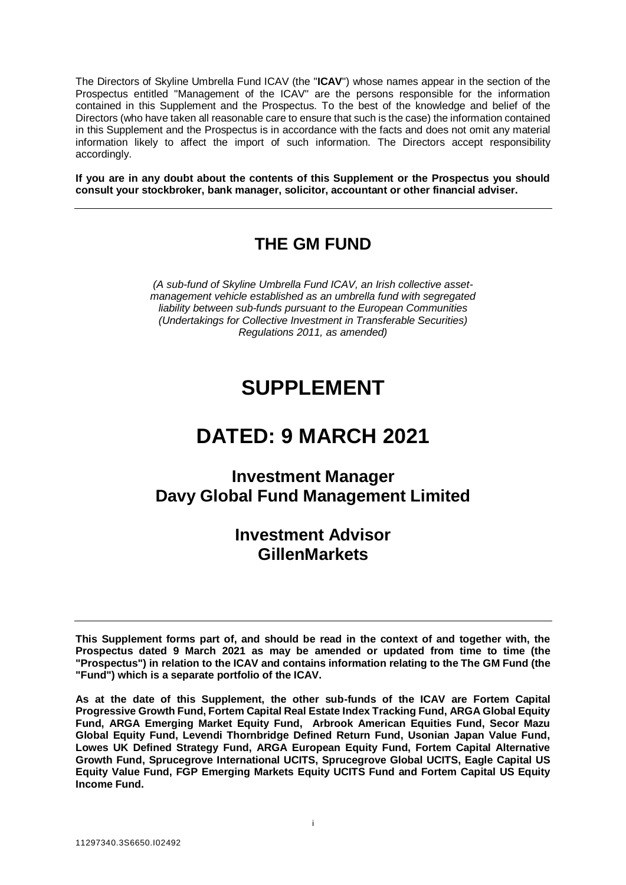The Directors of Skyline Umbrella Fund ICAV (the "**ICAV**") whose names appear in the section of the Prospectus entitled "Management of the ICAV" are the persons responsible for the information contained in this Supplement and the Prospectus. To the best of the knowledge and belief of the Directors (who have taken all reasonable care to ensure that such is the case) the information contained in this Supplement and the Prospectus is in accordance with the facts and does not omit any material information likely to affect the import of such information. The Directors accept responsibility accordingly.

**If you are in any doubt about the contents of this Supplement or the Prospectus you should consult your stockbroker, bank manager, solicitor, accountant or other financial adviser.**

# **THE GM FUND**

*(A sub-fund of Skyline Umbrella Fund ICAV, an Irish collective assetmanagement vehicle established as an umbrella fund with segregated liability between sub-funds pursuant to the European Communities (Undertakings for Collective Investment in Transferable Securities) Regulations 2011, as amended)*

# **SUPPLEMENT**

# **DATED: 9 MARCH 2021**

# **Investment Manager Davy Global Fund Management Limited**

# **Investment Advisor GillenMarkets**

**This Supplement forms part of, and should be read in the context of and together with, the Prospectus dated 9 March 2021 as may be amended or updated from time to time (the "Prospectus") in relation to the ICAV and contains information relating to the The GM Fund (the "Fund") which is a separate portfolio of the ICAV.** 

**As at the date of this Supplement, the other sub-funds of the ICAV are Fortem Capital Progressive Growth Fund, Fortem Capital Real Estate Index Tracking Fund, ARGA Global Equity Fund, ARGA Emerging Market Equity Fund, Arbrook American Equities Fund, Secor Mazu Global Equity Fund, Levendi Thornbridge Defined Return Fund, Usonian Japan Value Fund, Lowes UK Defined Strategy Fund, ARGA European Equity Fund, Fortem Capital Alternative Growth Fund, Sprucegrove International UCITS, Sprucegrove Global UCITS, Eagle Capital US Equity Value Fund, FGP Emerging Markets Equity UCITS Fund and Fortem Capital US Equity Income Fund.**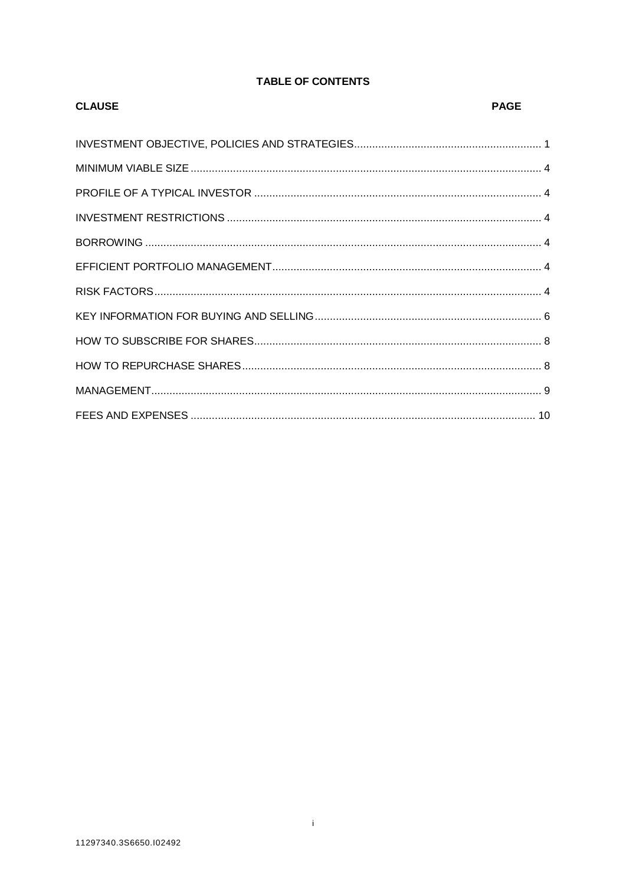# **TABLE OF CONTENTS**

| <b>CLAUSE</b> | <b>PAGE</b> |
|---------------|-------------|
|               |             |
|               |             |
|               |             |
|               |             |
|               |             |
|               |             |
|               |             |
|               |             |
|               |             |
|               |             |
|               |             |
|               |             |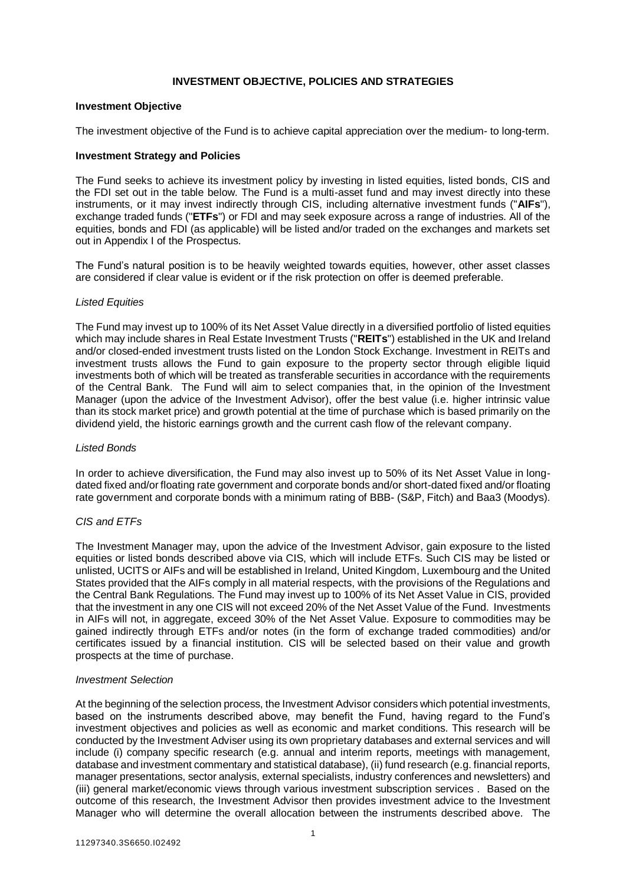# **INVESTMENT OBJECTIVE, POLICIES AND STRATEGIES**

#### <span id="page-2-0"></span>**Investment Objective**

The investment objective of the Fund is to achieve capital appreciation over the medium- to long-term.

#### **Investment Strategy and Policies**

The Fund seeks to achieve its investment policy by investing in listed equities, listed bonds, CIS and the FDI set out in the table below. The Fund is a multi-asset fund and may invest directly into these instruments, or it may invest indirectly through CIS, including alternative investment funds ("**AIFs**"), exchange traded funds ("**ETFs**") or FDI and may seek exposure across a range of industries. All of the equities, bonds and FDI (as applicable) will be listed and/or traded on the exchanges and markets set out in Appendix I of the Prospectus.

The Fund's natural position is to be heavily weighted towards equities, however, other asset classes are considered if clear value is evident or if the risk protection on offer is deemed preferable.

#### *Listed Equities*

The Fund may invest up to 100% of its Net Asset Value directly in a diversified portfolio of listed equities which may include shares in Real Estate Investment Trusts ("**REITs**") established in the UK and Ireland and/or closed-ended investment trusts listed on the London Stock Exchange. Investment in REITs and investment trusts allows the Fund to gain exposure to the property sector through eligible liquid investments both of which will be treated as transferable securities in accordance with the requirements of the Central Bank. The Fund will aim to select companies that, in the opinion of the Investment Manager (upon the advice of the Investment Advisor), offer the best value (i.e. higher intrinsic value than its stock market price) and growth potential at the time of purchase which is based primarily on the dividend yield, the historic earnings growth and the current cash flow of the relevant company.

#### *Listed Bonds*

In order to achieve diversification, the Fund may also invest up to 50% of its Net Asset Value in longdated fixed and/or floating rate government and corporate bonds and/or short-dated fixed and/or floating rate government and corporate bonds with a minimum rating of BBB- (S&P, Fitch) and Baa3 (Moodys).

# *CIS and ETFs*

The Investment Manager may, upon the advice of the Investment Advisor, gain exposure to the listed equities or listed bonds described above via CIS, which will include ETFs. Such CIS may be listed or unlisted, UCITS or AIFs and will be established in Ireland, United Kingdom, Luxembourg and the United States provided that the AIFs comply in all material respects, with the provisions of the Regulations and the Central Bank Regulations. The Fund may invest up to 100% of its Net Asset Value in CIS, provided that the investment in any one CIS will not exceed 20% of the Net Asset Value of the Fund. Investments in AIFs will not, in aggregate, exceed 30% of the Net Asset Value. Exposure to commodities may be gained indirectly through ETFs and/or notes (in the form of exchange traded commodities) and/or certificates issued by a financial institution. CIS will be selected based on their value and growth prospects at the time of purchase.

#### *Investment Selection*

At the beginning of the selection process, the Investment Advisor considers which potential investments, based on the instruments described above, may benefit the Fund, having regard to the Fund's investment objectives and policies as well as economic and market conditions. This research will be conducted by the Investment Adviser using its own proprietary databases and external services and will include (i) company specific research (e.g. annual and interim reports, meetings with management, database and investment commentary and statistical database), (ii) fund research (e.g. financial reports, manager presentations, sector analysis, external specialists, industry conferences and newsletters) and (iii) general market/economic views through various investment subscription services . Based on the outcome of this research, the Investment Advisor then provides investment advice to the Investment Manager who will determine the overall allocation between the instruments described above. The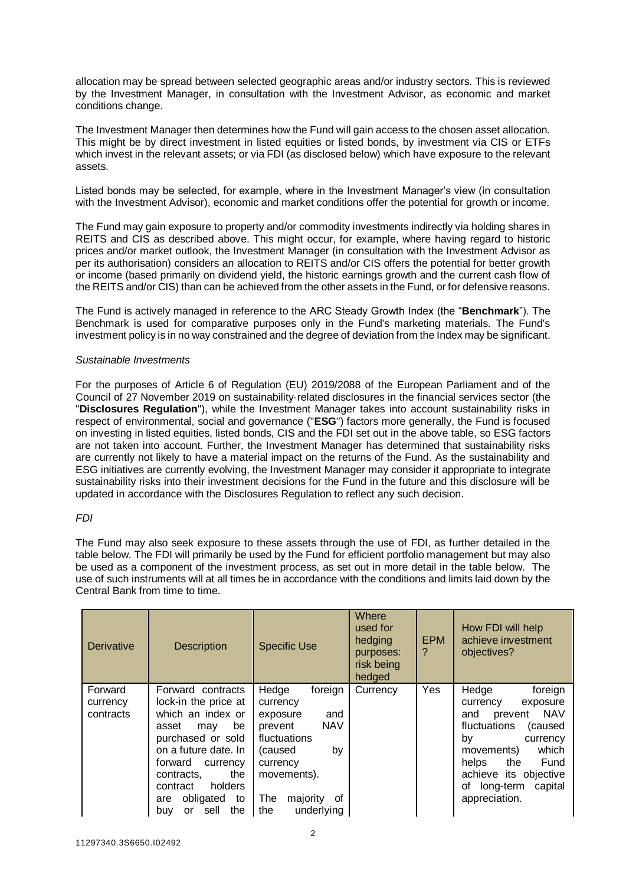allocation may be spread between selected geographic areas and/or industry sectors. This is reviewed by the Investment Manager, in consultation with the Investment Advisor, as economic and market conditions change.

The Investment Manager then determines how the Fund will gain access to the chosen asset allocation. This might be by direct investment in listed equities or listed bonds, by investment via CIS or ETFs which invest in the relevant assets; or via FDI (as disclosed below) which have exposure to the relevant assets.

Listed bonds may be selected, for example, where in the Investment Manager's view (in consultation with the Investment Advisor), economic and market conditions offer the potential for growth or income.

The Fund may gain exposure to property and/or commodity investments indirectly via holding shares in REITS and CIS as described above. This might occur, for example, where having regard to historic prices and/or market outlook, the Investment Manager (in consultation with the Investment Advisor as per its authorisation) considers an allocation to REITS and/or CIS offers the potential for better growth or income (based primarily on dividend yield, the historic earnings growth and the current cash flow of the REITS and/or CIS) than can be achieved from the other assets in the Fund, or for defensive reasons.

The Fund is actively managed in reference to the ARC Steady Growth Index (the "**Benchmark**"). The Benchmark is used for comparative purposes only in the Fund's marketing materials. The Fund's investment policy is in no way constrained and the degree of deviation from the Index may be significant.

# *Sustainable Investments*

For the purposes of Article 6 of Regulation (EU) 2019/2088 of the European Parliament and of the Council of 27 November 2019 on sustainability-related disclosures in the financial services sector (the "**Disclosures Regulation**"), while the Investment Manager takes into account sustainability risks in respect of environmental, social and governance ("**ESG**") factors more generally, the Fund is focused on investing in listed equities, listed bonds, CIS and the FDI set out in the above table, so ESG factors are not taken into account. Further, the Investment Manager has determined that sustainability risks are currently not likely to have a material impact on the returns of the Fund. As the sustainability and ESG initiatives are currently evolving, the Investment Manager may consider it appropriate to integrate sustainability risks into their investment decisions for the Fund in the future and this disclosure will be updated in accordance with the Disclosures Regulation to reflect any such decision.

# *FDI*

The Fund may also seek exposure to these assets through the use of FDI, as further detailed in the table below. The FDI will primarily be used by the Fund for efficient portfolio management but may also be used as a component of the investment process, as set out in more detail in the table below. The use of such instruments will at all times be in accordance with the conditions and limits laid down by the Central Bank from time to time.

| <b>Derivative</b>                | <b>Description</b>                                                                                                                                                                                                                                                | <b>Specific Use</b>                                                                                                                                                                | Where<br>used for<br>hedging<br>purposes:<br>risk being<br>hedged | <b>EPM</b><br>? | How FDI will help<br>achieve investment<br>objectives?                                                                                                                                                                                    |
|----------------------------------|-------------------------------------------------------------------------------------------------------------------------------------------------------------------------------------------------------------------------------------------------------------------|------------------------------------------------------------------------------------------------------------------------------------------------------------------------------------|-------------------------------------------------------------------|-----------------|-------------------------------------------------------------------------------------------------------------------------------------------------------------------------------------------------------------------------------------------|
| Forward<br>currency<br>contracts | Forward contracts<br>lock-in the price at<br>which an index or<br>be<br>asset<br>may<br>purchased or sold<br>on a future date. In<br>forward<br>currency<br>the<br>contracts,<br>holders<br>contract<br>obligated<br>to<br>are<br>sell<br>the<br><b>or</b><br>buy | Hedge<br>foreign<br>currency<br>and<br>exposure<br><b>NAV</b><br>prevent<br>fluctuations<br>by<br>(caused<br>currency<br>movements).<br>The<br>majority<br>0f<br>the<br>underlying | Currency                                                          | <b>Yes</b>      | Hedge<br>foreign<br>currency<br>exposure<br><b>NAV</b><br>and<br>prevent<br>fluctuations<br>(caused<br>by<br>currency<br>which<br>movements)<br>the<br>Fund<br>helps<br>achieve its objective<br>of long-term<br>capital<br>appreciation. |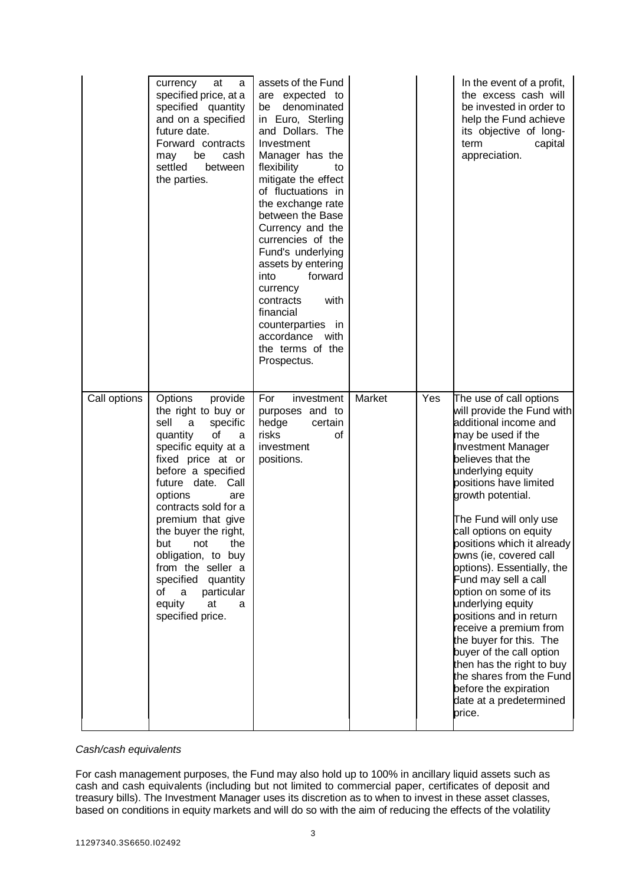|              | currency<br>at<br>a<br>specified price, at a<br>specified quantity<br>and on a specified<br>future date.<br>Forward contracts<br>be<br>may<br>cash<br>settled<br>between<br>the parties.                                                                                                                                                                                                                                          | assets of the Fund<br>are expected to<br>denominated<br>be<br>in Euro, Sterling<br>and Dollars. The<br>Investment<br>Manager has the<br>flexibility<br>to<br>mitigate the effect<br>of fluctuations in<br>the exchange rate<br>between the Base<br>Currency and the<br>currencies of the<br>Fund's underlying<br>assets by entering<br>forward<br>into<br>currency<br>contracts<br>with<br>financial<br>counterparties in<br>accordance with<br>the terms of the<br>Prospectus. |        |     | In the event of a profit,<br>the excess cash will<br>be invested in order to<br>help the Fund achieve<br>its objective of long-<br>term<br>capital<br>appreciation.                                                                                                                                                                                                                                                                                                                                                                                                                                                                                                           |
|--------------|-----------------------------------------------------------------------------------------------------------------------------------------------------------------------------------------------------------------------------------------------------------------------------------------------------------------------------------------------------------------------------------------------------------------------------------|---------------------------------------------------------------------------------------------------------------------------------------------------------------------------------------------------------------------------------------------------------------------------------------------------------------------------------------------------------------------------------------------------------------------------------------------------------------------------------|--------|-----|-------------------------------------------------------------------------------------------------------------------------------------------------------------------------------------------------------------------------------------------------------------------------------------------------------------------------------------------------------------------------------------------------------------------------------------------------------------------------------------------------------------------------------------------------------------------------------------------------------------------------------------------------------------------------------|
| Call options | provide<br><b>Options</b><br>the right to buy or<br>sell<br>specific<br>a<br>of<br>quantity<br>a<br>specific equity at a<br>fixed price at or<br>before a specified<br>future date. Call<br>options<br>are<br>contracts sold for a<br>premium that give<br>the buyer the right,<br>but not the<br>obligation, to buy<br>from the seller a<br>specified quantity<br>a<br>particular<br>of<br>equity<br>at<br>a<br>specified price. | For<br>investment<br>purposes and to<br>hedge<br>certain<br>risks<br>οf<br>investment<br>positions.                                                                                                                                                                                                                                                                                                                                                                             | Market | Yes | The use of call options<br>will provide the Fund with<br>additional income and<br>may be used if the<br><b>Investment Manager</b><br>believes that the<br>underlying equity<br>positions have limited<br>growth potential.<br>The Fund will only use<br>call options on equity<br>positions which it already<br>owns (ie, covered call<br>options). Essentially, the<br>Fund may sell a call<br>option on some of its<br>underlying equity<br>positions and in return<br>receive a premium from<br>the buyer for this. The<br>buyer of the call option<br>then has the right to buy<br>the shares from the Fund<br>before the expiration<br>date at a predetermined<br>price. |

# *Cash/cash equivalents*

For cash management purposes, the Fund may also hold up to 100% in ancillary liquid assets such as cash and cash equivalents (including but not limited to commercial paper, certificates of deposit and treasury bills). The Investment Manager uses its discretion as to when to invest in these asset classes, based on conditions in equity markets and will do so with the aim of reducing the effects of the volatility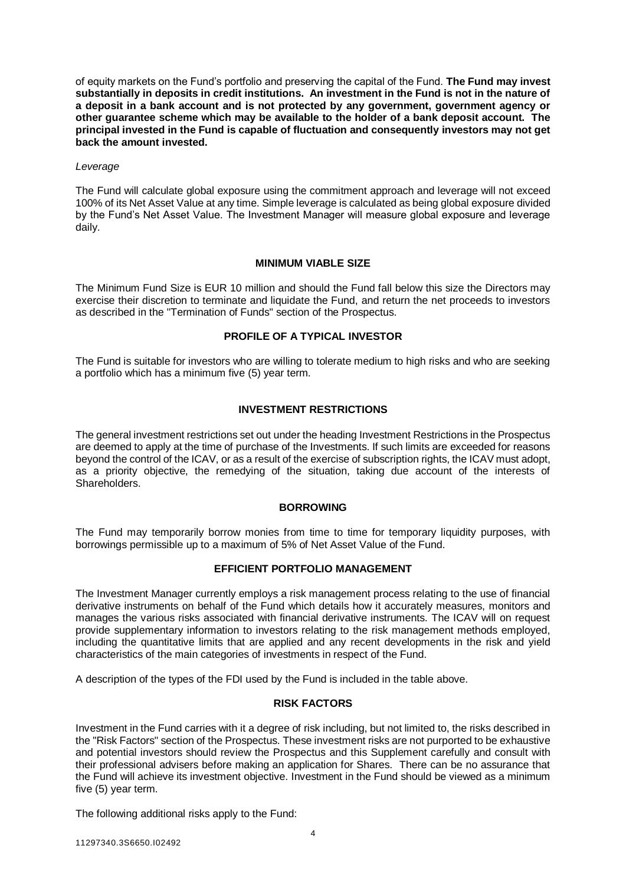of equity markets on the Fund's portfolio and preserving the capital of the Fund. **The Fund may invest substantially in deposits in credit institutions. An investment in the Fund is not in the nature of a deposit in a bank account and is not protected by any government, government agency or other guarantee scheme which may be available to the holder of a bank deposit account. The principal invested in the Fund is capable of fluctuation and consequently investors may not get back the amount invested.**

# *Leverage*

The Fund will calculate global exposure using the commitment approach and leverage will not exceed 100% of its Net Asset Value at any time. Simple leverage is calculated as being global exposure divided by the Fund's Net Asset Value. The Investment Manager will measure global exposure and leverage daily.

# **MINIMUM VIABLE SIZE**

<span id="page-5-0"></span>The Minimum Fund Size is EUR 10 million and should the Fund fall below this size the Directors may exercise their discretion to terminate and liquidate the Fund, and return the net proceeds to investors as described in the "Termination of Funds" section of the Prospectus.

# **PROFILE OF A TYPICAL INVESTOR**

<span id="page-5-1"></span>The Fund is suitable for investors who are willing to tolerate medium to high risks and who are seeking a portfolio which has a minimum five (5) year term.

# **INVESTMENT RESTRICTIONS**

<span id="page-5-2"></span>The general investment restrictions set out under the heading Investment Restrictions in the Prospectus are deemed to apply at the time of purchase of the Investments. If such limits are exceeded for reasons beyond the control of the ICAV, or as a result of the exercise of subscription rights, the ICAV must adopt, as a priority objective, the remedying of the situation, taking due account of the interests of Shareholders.

# **BORROWING**

<span id="page-5-4"></span><span id="page-5-3"></span>The Fund may temporarily borrow monies from time to time for temporary liquidity purposes, with borrowings permissible up to a maximum of 5% of Net Asset Value of the Fund.

# **EFFICIENT PORTFOLIO MANAGEMENT**

The Investment Manager currently employs a risk management process relating to the use of financial derivative instruments on behalf of the Fund which details how it accurately measures, monitors and manages the various risks associated with financial derivative instruments. The ICAV will on request provide supplementary information to investors relating to the risk management methods employed, including the quantitative limits that are applied and any recent developments in the risk and yield characteristics of the main categories of investments in respect of the Fund.

<span id="page-5-5"></span>A description of the types of the FDI used by the Fund is included in the table above.

# **RISK FACTORS**

Investment in the Fund carries with it a degree of risk including, but not limited to, the risks described in the "Risk Factors" section of the Prospectus. These investment risks are not purported to be exhaustive and potential investors should review the Prospectus and this Supplement carefully and consult with their professional advisers before making an application for Shares. There can be no assurance that the Fund will achieve its investment objective. Investment in the Fund should be viewed as a minimum five (5) year term.

The following additional risks apply to the Fund: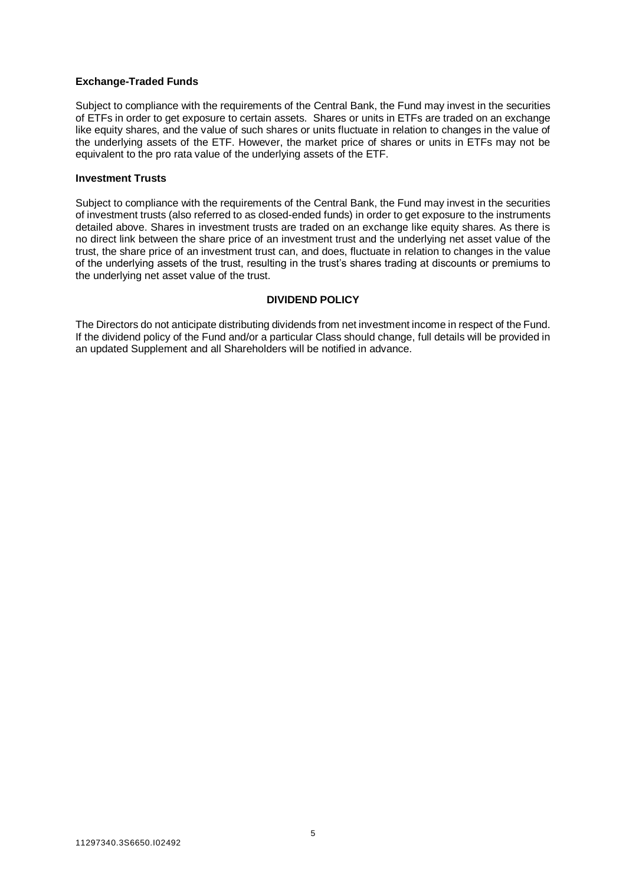# **Exchange-Traded Funds**

Subject to compliance with the requirements of the Central Bank, the Fund may invest in the securities of ETFs in order to get exposure to certain assets. Shares or units in ETFs are traded on an exchange like equity shares, and the value of such shares or units fluctuate in relation to changes in the value of the underlying assets of the ETF. However, the market price of shares or units in ETFs may not be equivalent to the pro rata value of the underlying assets of the ETF.

# **Investment Trusts**

Subject to compliance with the requirements of the Central Bank, the Fund may invest in the securities of investment trusts (also referred to as closed-ended funds) in order to get exposure to the instruments detailed above. Shares in investment trusts are traded on an exchange like equity shares. As there is no direct link between the share price of an investment trust and the underlying net asset value of the trust, the share price of an investment trust can, and does, fluctuate in relation to changes in the value of the underlying assets of the trust, resulting in the trust's shares trading at discounts or premiums to the underlying net asset value of the trust.

# **DIVIDEND POLICY**

The Directors do not anticipate distributing dividends from net investment income in respect of the Fund. If the dividend policy of the Fund and/or a particular Class should change, full details will be provided in an updated Supplement and all Shareholders will be notified in advance.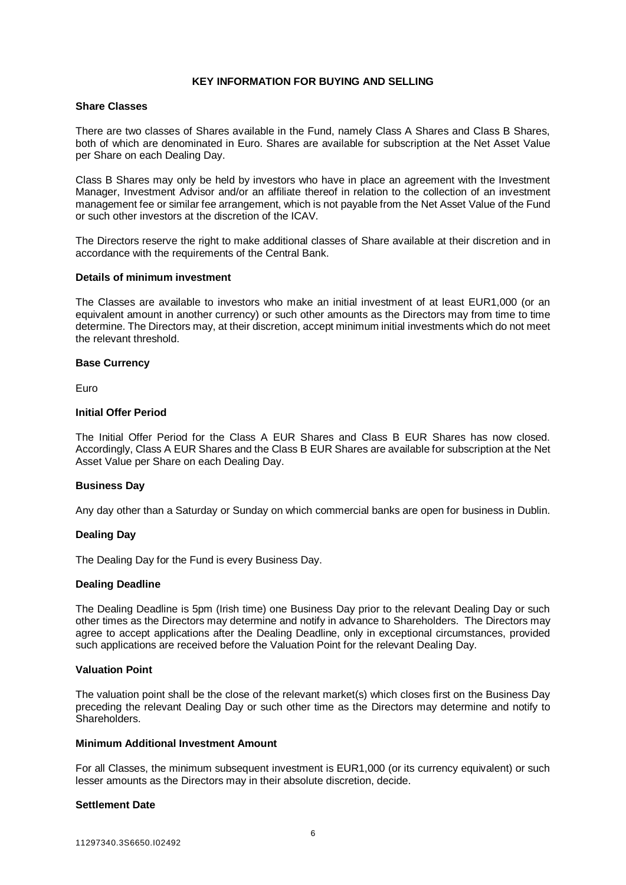# **KEY INFORMATION FOR BUYING AND SELLING**

#### <span id="page-7-0"></span>**Share Classes**

There are two classes of Shares available in the Fund, namely Class A Shares and Class B Shares, both of which are denominated in Euro. Shares are available for subscription at the Net Asset Value per Share on each Dealing Day.

Class B Shares may only be held by investors who have in place an agreement with the Investment Manager, Investment Advisor and/or an affiliate thereof in relation to the collection of an investment management fee or similar fee arrangement, which is not payable from the Net Asset Value of the Fund or such other investors at the discretion of the ICAV.

The Directors reserve the right to make additional classes of Share available at their discretion and in accordance with the requirements of the Central Bank.

#### **Details of minimum investment**

The Classes are available to investors who make an initial investment of at least EUR1,000 (or an equivalent amount in another currency) or such other amounts as the Directors may from time to time determine. The Directors may, at their discretion, accept minimum initial investments which do not meet the relevant threshold.

#### **Base Currency**

Euro

#### **Initial Offer Period**

The Initial Offer Period for the Class A EUR Shares and Class B EUR Shares has now closed. Accordingly, Class A EUR Shares and the Class B EUR Shares are available for subscription at the Net Asset Value per Share on each Dealing Day.

# **Business Day**

Any day other than a Saturday or Sunday on which commercial banks are open for business in Dublin.

# **Dealing Day**

The Dealing Day for the Fund is every Business Day.

#### **Dealing Deadline**

The Dealing Deadline is 5pm (Irish time) one Business Day prior to the relevant Dealing Day or such other times as the Directors may determine and notify in advance to Shareholders. The Directors may agree to accept applications after the Dealing Deadline, only in exceptional circumstances, provided such applications are received before the Valuation Point for the relevant Dealing Day.

#### **Valuation Point**

The valuation point shall be the close of the relevant market(s) which closes first on the Business Day preceding the relevant Dealing Day or such other time as the Directors may determine and notify to Shareholders.

#### **Minimum Additional Investment Amount**

For all Classes, the minimum subsequent investment is EUR1,000 (or its currency equivalent) or such lesser amounts as the Directors may in their absolute discretion, decide.

# **Settlement Date**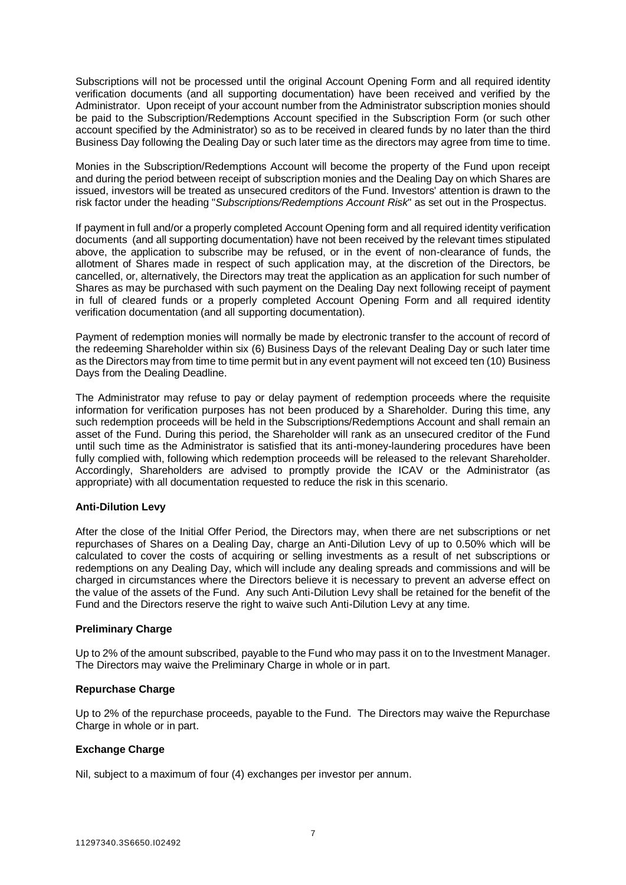Subscriptions will not be processed until the original Account Opening Form and all required identity verification documents (and all supporting documentation) have been received and verified by the Administrator. Upon receipt of your account number from the Administrator subscription monies should be paid to the Subscription/Redemptions Account specified in the Subscription Form (or such other account specified by the Administrator) so as to be received in cleared funds by no later than the third Business Day following the Dealing Day or such later time as the directors may agree from time to time.

Monies in the Subscription/Redemptions Account will become the property of the Fund upon receipt and during the period between receipt of subscription monies and the Dealing Day on which Shares are issued, investors will be treated as unsecured creditors of the Fund. Investors' attention is drawn to the risk factor under the heading "*Subscriptions/Redemptions Account Risk*" as set out in the Prospectus.

If payment in full and/or a properly completed Account Opening form and all required identity verification documents (and all supporting documentation) have not been received by the relevant times stipulated above, the application to subscribe may be refused, or in the event of non-clearance of funds, the allotment of Shares made in respect of such application may, at the discretion of the Directors, be cancelled, or, alternatively, the Directors may treat the application as an application for such number of Shares as may be purchased with such payment on the Dealing Day next following receipt of payment in full of cleared funds or a properly completed Account Opening Form and all required identity verification documentation (and all supporting documentation).

Payment of redemption monies will normally be made by electronic transfer to the account of record of the redeeming Shareholder within six (6) Business Days of the relevant Dealing Day or such later time as the Directors may from time to time permit but in any event payment will not exceed ten (10) Business Days from the Dealing Deadline.

The Administrator may refuse to pay or delay payment of redemption proceeds where the requisite information for verification purposes has not been produced by a Shareholder. During this time, any such redemption proceeds will be held in the Subscriptions/Redemptions Account and shall remain an asset of the Fund. During this period, the Shareholder will rank as an unsecured creditor of the Fund until such time as the Administrator is satisfied that its anti-money-laundering procedures have been fully complied with, following which redemption proceeds will be released to the relevant Shareholder. Accordingly, Shareholders are advised to promptly provide the ICAV or the Administrator (as appropriate) with all documentation requested to reduce the risk in this scenario.

# **Anti-Dilution Levy**

After the close of the Initial Offer Period, the Directors may, when there are net subscriptions or net repurchases of Shares on a Dealing Day, charge an Anti-Dilution Levy of up to 0.50% which will be calculated to cover the costs of acquiring or selling investments as a result of net subscriptions or redemptions on any Dealing Day, which will include any dealing spreads and commissions and will be charged in circumstances where the Directors believe it is necessary to prevent an adverse effect on the value of the assets of the Fund. Any such Anti-Dilution Levy shall be retained for the benefit of the Fund and the Directors reserve the right to waive such Anti-Dilution Levy at any time.

# **Preliminary Charge**

Up to 2% of the amount subscribed, payable to the Fund who may pass it on to the Investment Manager. The Directors may waive the Preliminary Charge in whole or in part.

# **Repurchase Charge**

Up to 2% of the repurchase proceeds, payable to the Fund. The Directors may waive the Repurchase Charge in whole or in part.

# **Exchange Charge**

Nil, subject to a maximum of four (4) exchanges per investor per annum.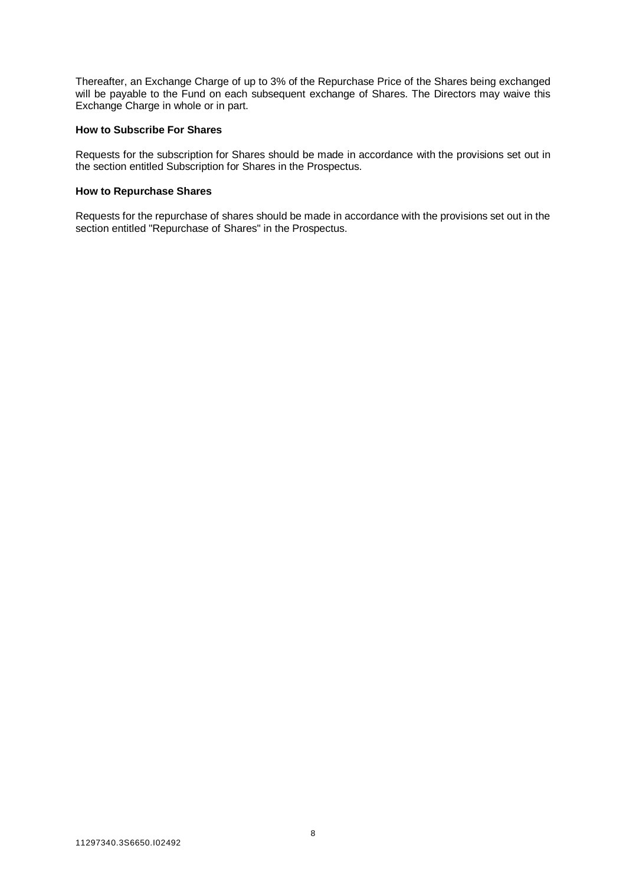Thereafter, an Exchange Charge of up to 3% of the Repurchase Price of the Shares being exchanged will be payable to the Fund on each subsequent exchange of Shares. The Directors may waive this Exchange Charge in whole or in part.

#### <span id="page-9-0"></span>**How to Subscribe For Shares**

Requests for the subscription for Shares should be made in accordance with the provisions set out in the section entitled Subscription for Shares in the Prospectus.

# <span id="page-9-1"></span>**How to Repurchase Shares**

Requests for the repurchase of shares should be made in accordance with the provisions set out in the section entitled "Repurchase of Shares" in the Prospectus.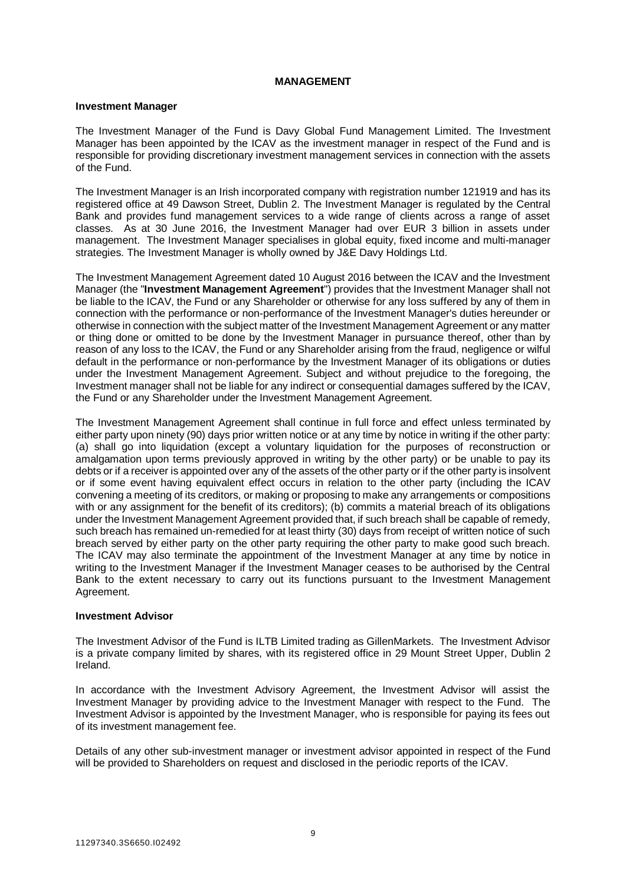# **MANAGEMENT**

# <span id="page-10-0"></span>**Investment Manager**

The Investment Manager of the Fund is Davy Global Fund Management Limited. The Investment Manager has been appointed by the ICAV as the investment manager in respect of the Fund and is responsible for providing discretionary investment management services in connection with the assets of the Fund.

The Investment Manager is an Irish incorporated company with registration number 121919 and has its registered office at 49 Dawson Street, Dublin 2. The Investment Manager is regulated by the Central Bank and provides fund management services to a wide range of clients across a range of asset classes. As at 30 June 2016, the Investment Manager had over EUR 3 billion in assets under management. The Investment Manager specialises in global equity, fixed income and multi-manager strategies. The Investment Manager is wholly owned by J&E Davy Holdings Ltd.

The Investment Management Agreement dated 10 August 2016 between the ICAV and the Investment Manager (the "**Investment Management Agreement**") provides that the Investment Manager shall not be liable to the ICAV, the Fund or any Shareholder or otherwise for any loss suffered by any of them in connection with the performance or non-performance of the Investment Manager's duties hereunder or otherwise in connection with the subject matter of the Investment Management Agreement or any matter or thing done or omitted to be done by the Investment Manager in pursuance thereof, other than by reason of any loss to the ICAV, the Fund or any Shareholder arising from the fraud, negligence or wilful default in the performance or non-performance by the Investment Manager of its obligations or duties under the Investment Management Agreement. Subject and without prejudice to the foregoing, the Investment manager shall not be liable for any indirect or consequential damages suffered by the ICAV, the Fund or any Shareholder under the Investment Management Agreement.

The Investment Management Agreement shall continue in full force and effect unless terminated by either party upon ninety (90) days prior written notice or at any time by notice in writing if the other party: (a) shall go into liquidation (except a voluntary liquidation for the purposes of reconstruction or amalgamation upon terms previously approved in writing by the other party) or be unable to pay its debts or if a receiver is appointed over any of the assets of the other party or if the other party is insolvent or if some event having equivalent effect occurs in relation to the other party (including the ICAV convening a meeting of its creditors, or making or proposing to make any arrangements or compositions with or any assignment for the benefit of its creditors); (b) commits a material breach of its obligations under the Investment Management Agreement provided that, if such breach shall be capable of remedy, such breach has remained un-remedied for at least thirty (30) days from receipt of written notice of such breach served by either party on the other party requiring the other party to make good such breach. The ICAV may also terminate the appointment of the Investment Manager at any time by notice in writing to the Investment Manager if the Investment Manager ceases to be authorised by the Central Bank to the extent necessary to carry out its functions pursuant to the Investment Management Agreement.

# **Investment Advisor**

The Investment Advisor of the Fund is ILTB Limited trading as GillenMarkets. The Investment Advisor is a private company limited by shares, with its registered office in 29 Mount Street Upper, Dublin 2 Ireland.

In accordance with the Investment Advisory Agreement, the Investment Advisor will assist the Investment Manager by providing advice to the Investment Manager with respect to the Fund. The Investment Advisor is appointed by the Investment Manager, who is responsible for paying its fees out of its investment management fee.

Details of any other sub-investment manager or investment advisor appointed in respect of the Fund will be provided to Shareholders on request and disclosed in the periodic reports of the ICAV.